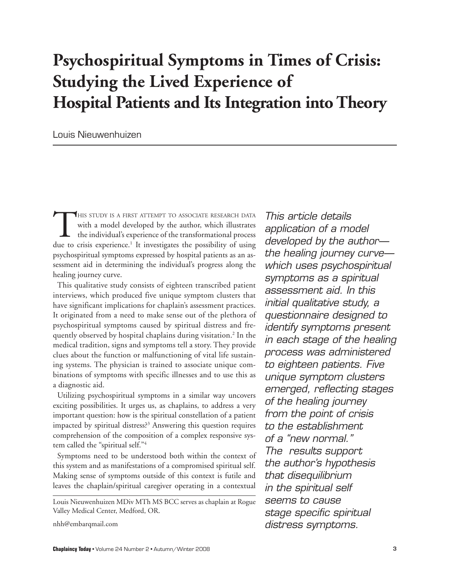# **Psychospiritual Symptoms in Times of Crisis: Studying the Lived Experience of Hospital Patients and Its Integration into Theory**

Louis Nieuwenhuizen

THIS STUDY IS A FIRST ATTEMPT TO ASSOCIATE RESEARCH DATA<br>with a model developed by the author, which illustrates<br>the individual's experience of the transformational process<br>due to crisis experience<sup>1</sup> It investigates the p with a model developed by the author, which illustrates the individual's experience of the transformational process due to crisis experience.<sup>1</sup> It investigates the possibility of using psychospiritual symptoms expressed by hospital patients as an assessment aid in determining the individual's progress along the healing journey curve.

This qualitative study consists of eighteen transcribed patient interviews, which produced five unique symptom clusters that have significant implications for chaplain's assessment practices. It originated from a need to make sense out of the plethora of psychospiritual symptoms caused by spiritual distress and frequently observed by hospital chaplains during visitation.<sup>2</sup> In the medical tradition, signs and symptoms tell a story. They provide clues about the function or malfunctioning of vital life sustaining systems. The physician is trained to associate unique combinations of symptoms with specific illnesses and to use this as a diagnostic aid.

Utilizing psychospiritual symptoms in a similar way uncovers exciting possibilities. It urges us, as chaplains, to address a very important question: how is the spiritual constellation of a patient impacted by spiritual distress?3 Answering this question requires comprehension of the composition of a complex responsive system called the "spiritual self."4

Symptoms need to be understood both within the context of this system and as manifestations of a compromised spiritual self. Making sense of symptoms outside of this context is futile and leaves the chaplain/spiritual caregiver operating in a contextual

nhh@embarqmail.com

This article details application of a model developed by the author the healing journey curve which uses psychospiritual symptoms as a spiritual assessment aid. In this initial qualitative study, a questionnaire designed to identify symptoms present in each stage of the healing process was administered to eighteen patients. Five unique symptom clusters emerged, reflecting stages of the healing journey from the point of crisis to the establishment of a "new normal." The results support the author's hypothesis that disequilibrium in the spiritual self seems to cause stage specific spiritual distress symptoms.

Louis Nieuwenhuizen MDiv MTh MS BCC serves as chaplain at Rogue Valley Medical Center, Medford, OR.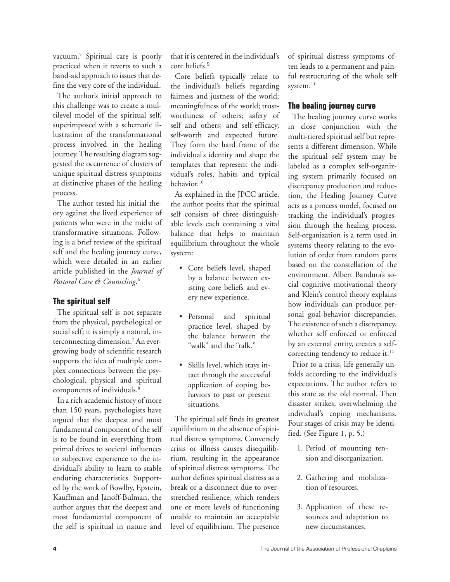vacuum.5 Spiritual care is poorly practiced when it reverts to such a band-aid approach to issues that define the very core of the individual.

The author's initial approach to this challenge was to create a multilevel model of the spiritual self, superimposed with a schematic illustration of the transformational process involved in the healing journey. The resulting diagram suggested the occurrence of clusters of unique spiritual distress symptoms at distinctive phases of the healing process.

The author tested his initial theory against the lived experience of patients who were in the midst of transformative situations. Following is a brief review of the spiritual self and the healing journey curve, which were detailed in an earlier article published in the *Journal of Pastoral Care & Counseling*. 6

### **The spiritual self**

The spiritual self is not separate from the physical, psychological or social self; it is simply a natural, interconnecting dimension.7 An evergrowing body of scientific research supports the idea of multiple complex connections between the psychological, physical and spiritual components of individuals.8

In a rich academic history of more than 150 years, psychologists have argued that the deepest and most fundamental component of the self is to be found in everything from primal drives to societal influences to subjective experience to the individual's ability to learn to stable enduring characteristics. Supported by the work of Bowlby, Epstein, Kauffman and Janoff-Bulman, the author argues that the deepest and most fundamental component of the self is spiritual in nature and

that it is centered in the individual's core beliefs.<sup>9</sup>

Core beliefs typically relate to the individual's beliefs regarding fairness and justness of the world; meaningfulness of the world; trustworthiness of others; safety of self and others; and self-efficacy, self-worth and expected future. They form the hard frame of the individual's identity and shape the templates that represent the individual's roles, habits and typical behavior.10

As explained in the JPCC article, the author posits that the spiritual self consists of three distinguishable levels each containing a vital balance that helps to maintain equilibrium throughout the whole system:

- Core beliefs level, shaped by a balance between existing core beliefs and every new experience.
- Personal and spiritual practice level, shaped by the balance between the "walk" and the "talk."
- Skills level, which stays intact through the successful application of coping behaviors to past or present situations.

The spiritual self finds its greatest equilibrium in the absence of spiritual distress symptoms. Conversely crisis or illness causes disequilibrium, resulting in the appearance of spiritual distress symptoms. The author defines spiritual distress as a break or a disconnect due to overstretched resilience, which renders one or more levels of functioning unable to maintain an acceptable level of equilibrium. The presence of spiritual distress symptoms often leads to a permanent and painful restructuring of the whole self system.<sup>11</sup>

## **The healing journey curve**

The healing journey curve works in close conjunction with the multi-tiered spiritual self but represents a different dimension. While the spiritual self system may be labeled as a complex self-organizing system primarily focused on discrepancy production and reduction, the Healing Journey Curve acts as a process model, focused on tracking the individual's progression through the healing process. Self-organization is a term used in systems theory relating to the evolution of order from random parts based on the constellation of the environment. Albert Bandura's social cognitive motivational theory and Klein's control theory explains how individuals can produce personal goal-behavior discrepancies. The existence of such a discrepancy, whether self enforced or enforced by an external entity, creates a selfcorrecting tendency to reduce it.<sup>12</sup>

Prior to a crisis, life generally unfolds according to the individual's expectations. The author refers to this state as the old normal. Then disaster strikes, overwhelming the individual's coping mechanisms. Four stages of crisis may be identified. (See Figure 1, p. 5.)

- 1. Period of mounting tension and disorganization.
- 2. Gathering and mobilization of resources.
- 3. Application of these resources and adaptation to new circumstances.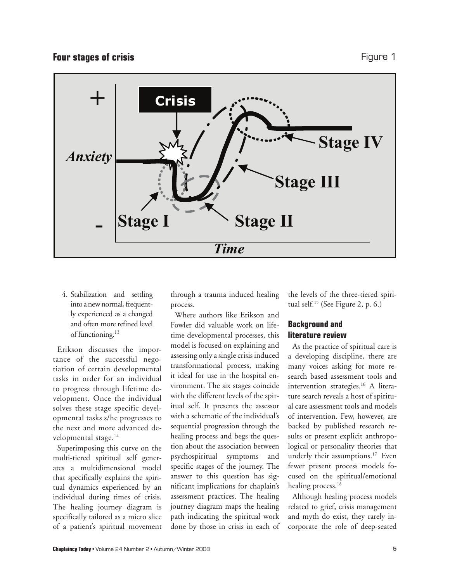## **Four stages of crisis Figure 1**



4. Stabilization and settling into a new normal, frequently experienced as a changed and often more refined level of functioning.<sup>13</sup>

Erikson discusses the importance of the successful negotiation of certain developmental tasks in order for an individual to progress through lifetime development. Once the individual solves these stage specific developmental tasks s/he progresses to the next and more advanced developmental stage.<sup>14</sup>

Superimposing this curve on the multi-tiered spiritual self generates a multidimensional model that specifically explains the spiritual dynamics experienced by an individual during times of crisis. The healing journey diagram is specifically tailored as a micro slice of a patient's spiritual movement

through a trauma induced healing process.

Where authors like Erikson and Fowler did valuable work on lifetime developmental processes, this model is focused on explaining and assessing only a single crisis induced transformational process, making it ideal for use in the hospital environment. The six stages coincide with the different levels of the spiritual self. It presents the assessor with a schematic of the individual's sequential progression through the healing process and begs the question about the association between psychospiritual symptoms and specific stages of the journey. The answer to this question has significant implications for chaplain's assessment practices. The healing journey diagram maps the healing path indicating the spiritual work done by those in crisis in each of the levels of the three-tiered spiritual self.15 (See Figure 2, p. 6.)

## **Background and literature review**

As the practice of spiritual care is a developing discipline, there are many voices asking for more research based assessment tools and intervention strategies.<sup>16</sup> A literature search reveals a host of spiritual care assessment tools and models of intervention. Few, however, are backed by published research results or present explicit anthropological or personality theories that underly their assumptions.<sup>17</sup> Even fewer present process models focused on the spiritual/emotional healing process.<sup>18</sup>

Although healing process models related to grief, crisis management and myth do exist, they rarely incorporate the role of deep-seated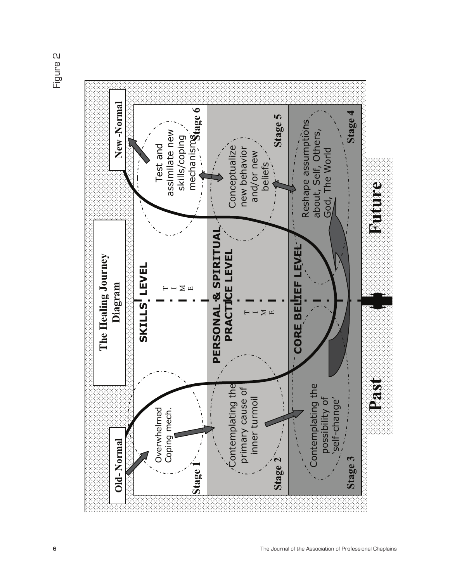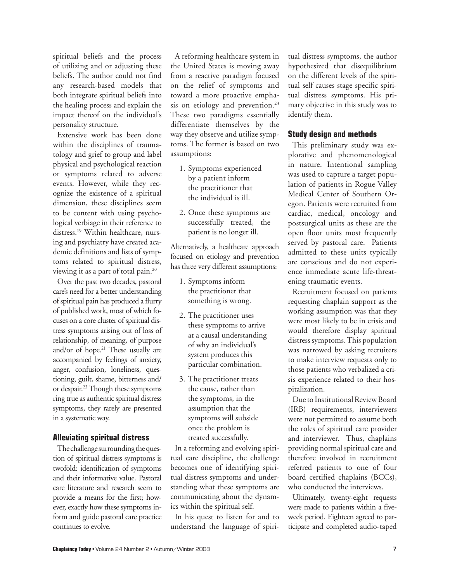spiritual beliefs and the process of utilizing and or adjusting these beliefs. The author could not find any research-based models that both integrate spiritual beliefs into the healing process and explain the impact thereof on the individual's personality structure.

Extensive work has been done within the disciplines of traumatology and grief to group and label physical and psychological reaction or symptoms related to adverse events. However, while they recognize the existence of a spiritual dimension, these disciplines seem to be content with using psychological verbiage in their reference to distress.<sup>19</sup> Within healthcare, nursing and psychiatry have created academic definitions and lists of symptoms related to spiritual distress, viewing it as a part of total pain.20

Over the past two decades, pastoral care's need for a better understanding of spiritual pain has produced a flurry of published work, most of which focuses on a core cluster of spiritual distress symptoms arising out of loss of relationship, of meaning, of purpose and/or of hope.<sup>21</sup> These usually are accompanied by feelings of anxiety, anger, confusion, loneliness, questioning, guilt, shame, bitterness and/ or despair.22 Though these symptoms ring true as authentic spiritual distress symptoms, they rarely are presented in a systematic way.

### **Alleviating spiritual distress**

The challenge surrounding the question of spiritual distress symptoms is twofold: identification of symptoms and their informative value. Pastoral care literature and research seem to provide a means for the first; however, exactly how these symptoms inform and guide pastoral care practice continues to evolve.

A reforming healthcare system in the United States is moving away from a reactive paradigm focused on the relief of symptoms and toward a more proactive emphasis on etiology and prevention.<sup>23</sup> These two paradigms essentially differentiate themselves by the way they observe and utilize symptoms. The former is based on two assumptions:

- 1. Symptoms experienced by a patient inform the practitioner that the individual is ill.
- 2. Once these symptoms are successfully treated, the patient is no longer ill.

Alternatively, a healthcare approach focused on etiology and prevention has three very different assumptions:

- 1. Symptoms inform the practitioner that something is wrong.
- 2. The practitioner uses these symptoms to arrive at a causal understanding of why an individual's system produces this particular combination.
- 3. The practitioner treats the cause, rather than the symptoms, in the assumption that the symptoms will subside once the problem is treated successfully.

In a reforming and evolving spiritual care discipline, the challenge becomes one of identifying spiritual distress symptoms and understanding what these symptoms are communicating about the dynamics within the spiritual self.

In his quest to listen for and to understand the language of spiritual distress symptoms, the author hypothesized that disequilibrium on the different levels of the spiritual self causes stage specific spiritual distress symptoms. His primary objective in this study was to identify them.

### **Study design and methods**

This preliminary study was explorative and phenomenological in nature. Intentional sampling was used to capture a target population of patients in Rogue Valley Medical Center of Southern Oregon. Patients were recruited from cardiac, medical, oncology and postsurgical units as these are the open floor units most frequently served by pastoral care. Patients admitted to these units typically are conscious and do not experience immediate acute life-threatening traumatic events.

Recruitment focused on patients requesting chaplain support as the working assumption was that they were most likely to be in crisis and would therefore display spiritual distress symptoms. This population was narrowed by asking recruiters to make interview requests only to those patients who verbalized a crisis experience related to their hospitalization.

Due to Institutional Review Board (IRB) requirements, interviewers were not permitted to assume both the roles of spiritual care provider and interviewer. Thus, chaplains providing normal spiritual care and therefore involved in recruitment referred patients to one of four board certified chaplains (BCCs), who conducted the interviews.

Ultimately, twenty-eight requests were made to patients within a fiveweek period. Eighteen agreed to participate and completed audio-taped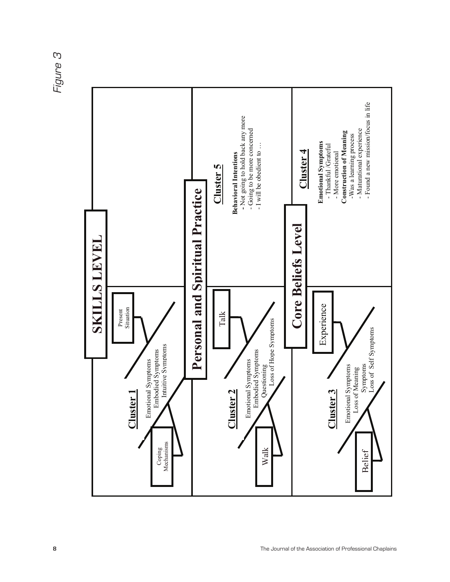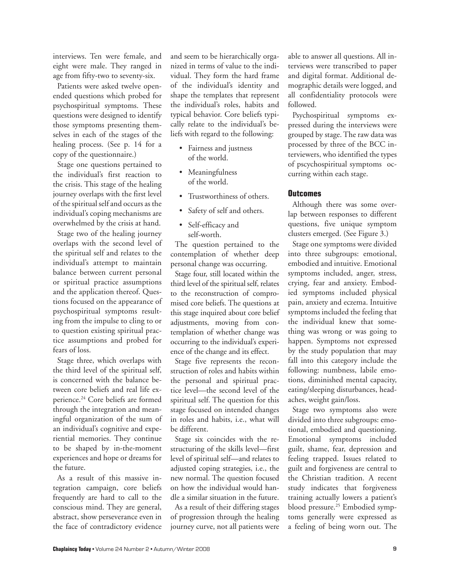interviews. Ten were female, and eight were male. They ranged in age from fifty-two to seventy-six.

Patients were asked twelve openended questions which probed for psychospiritual symptoms. These questions were designed to identify those symptoms presenting themselves in each of the stages of the healing process. (See p. 14 for a copy of the questionnaire.)

Stage one questions pertained to the individual's first reaction to the crisis. This stage of the healing journey overlaps with the first level of the spiritual self and occurs as the individual's coping mechanisms are overwhelmed by the crisis at hand.

Stage two of the healing journey overlaps with the second level of the spiritual self and relates to the individual's attempt to maintain balance between current personal or spiritual practice assumptions and the application thereof. Questions focused on the appearance of psychospiritual symptoms resulting from the impulse to cling to or to question existing spiritual practice assumptions and probed for fears of loss.

Stage three, which overlaps with the third level of the spiritual self, is concerned with the balance between core beliefs and real life experience.<sup>24</sup> Core beliefs are formed through the integration and meaningful organization of the sum of an individual's cognitive and experiential memories. They continue to be shaped by in-the-moment experiences and hope or dreams for the future.

As a result of this massive integration campaign, core beliefs frequently are hard to call to the conscious mind. They are general, abstract, show perseverance even in the face of contradictory evidence

and seem to be hierarchically organized in terms of value to the individual. They form the hard frame of the individual's identity and shape the templates that represent the individual's roles, habits and typical behavior. Core beliefs typically relate to the individual's beliefs with regard to the following:

- Fairness and justness of the world.
- Meaningfulness of the world.
- Trustworthiness of others.
- Safety of self and others.
- Self-efficacy and self-worth.

The question pertained to the contemplation of whether deep personal change was occurring.

Stage four, still located within the third level of the spiritual self, relates to the reconstruction of compromised core beliefs. The questions at this stage inquired about core belief adjustments, moving from contemplation of whether change was occurring to the individual's experience of the change and its effect.

Stage five represents the reconstruction of roles and habits within the personal and spiritual practice level—the second level of the spiritual self. The question for this stage focused on intended changes in roles and habits, i.e., what will be different.

Stage six coincides with the restructuring of the skills level—first level of spiritual self—and relates to adjusted coping strategies, i.e., the new normal. The question focused on how the individual would handle a similar situation in the future.

As a result of their differing stages of progression through the healing journey curve, not all patients were able to answer all questions. All interviews were transcribed to paper and digital format. Additional demographic details were logged, and all confidentiality protocols were followed.

Psychospiritual symptoms expressed during the interviews were grouped by stage. The raw data was processed by three of the BCC interviewers, who identified the types of pscychospiritual symptoms occurring within each stage.

## **Outcomes**

Although there was some overlap between responses to different questions, five unique symptom clusters emerged. (See Figure 3.)

Stage one symptoms were divided into three subgroups: emotional, embodied and intuitive. Emotional symptoms included, anger, stress, crying, fear and anxiety. Embodied symptoms included physical pain, anxiety and eczema. Intuitive symptoms included the feeling that the individual knew that something was wrong or was going to happen. Symptoms not expressed by the study population that may fall into this category include the following: numbness, labile emotions, diminished mental capacity, eating/sleeping disturbances, headaches, weight gain/loss.

Stage two symptoms also were divided into three subgroups: emotional, embodied and questioning. Emotional symptoms included guilt, shame, fear, depression and feeling trapped. Issues related to guilt and forgiveness are central to the Christian tradition. A recent study indicates that forgiveness training actually lowers a patient's blood pressure.25 Embodied symptoms generally were expressed as a feeling of being worn out. The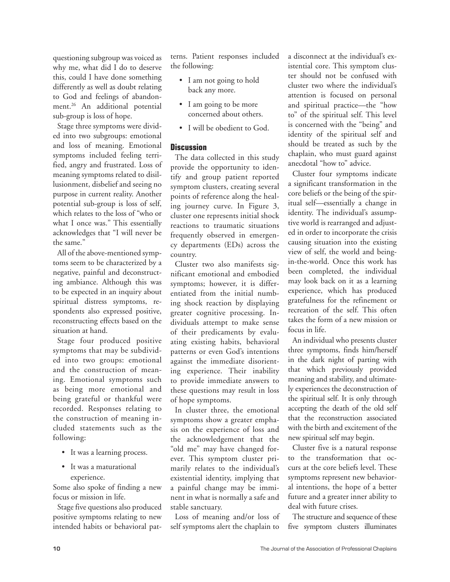questioning subgroup was voiced as why me, what did I do to deserve this, could I have done something differently as well as doubt relating to God and feelings of abandonment.<sup>26</sup> An additional potential sub-group is loss of hope.

Stage three symptoms were divided into two subgroups: emotional and loss of meaning. Emotional symptoms included feeling terrified, angry and frustrated. Loss of meaning symptoms related to disillusionment, disbelief and seeing no purpose in current reality. Another potential sub-group is loss of self, which relates to the loss of "who or what I once was." This essentially acknowledges that "I will never be the same."

All of the above-mentioned symptoms seem to be characterized by a negative, painful and deconstructing ambiance. Although this was to be expected in an inquiry about spiritual distress symptoms, respondents also expressed positive, reconstructing effects based on the situation at hand.

Stage four produced positive symptoms that may be subdivided into two groups: emotional and the construction of meaning. Emotional symptoms such as being more emotional and being grateful or thankful were recorded. Responses relating to the construction of meaning included statements such as the following:

- It was a learning process.
- It was a maturational experience.

Some also spoke of finding a new focus or mission in life.

Stage five questions also produced positive symptoms relating to new intended habits or behavioral patterns. Patient responses included the following:

- I am not going to hold back any more.
- I am going to be more concerned about others.
- I will be obedient to God.

## **Discussion**

The data collected in this study provide the opportunity to identify and group patient reported symptom clusters, creating several points of reference along the healing journey curve. In Figure 3, cluster one represents initial shock reactions to traumatic situations frequently observed in emergency departments (EDs) across the country.

Cluster two also manifests significant emotional and embodied symptoms; however, it is differentiated from the initial numbing shock reaction by displaying greater cognitive processing. Individuals attempt to make sense of their predicaments by evaluating existing habits, behavioral patterns or even God's intentions against the immediate disorienting experience. Their inability to provide immediate answers to these questions may result in loss of hope symptoms.

In cluster three, the emotional symptoms show a greater emphasis on the experience of loss and the acknowledgement that the "old me" may have changed forever. This symptom cluster primarily relates to the individual's existential identity, implying that a painful change may be imminent in what is normally a safe and stable sanctuary.

Loss of meaning and/or loss of self symptoms alert the chaplain to

a disconnect at the individual's existential core. This symptom cluster should not be confused with cluster two where the individual's attention is focused on personal and spiritual practice—the "how to" of the spiritual self. This level is concerned with the "being" and identity of the spiritual self and should be treated as such by the chaplain, who must guard against anecdotal "how to" advice.

Cluster four symptoms indicate a significant transformation in the core beliefs or the being of the spiritual self—essentially a change in identity. The individual's assumptive world is rearranged and adjusted in order to incorporate the crisis causing situation into the existing view of self, the world and beingin-the-world. Once this work has been completed, the individual may look back on it as a learning experience, which has produced gratefulness for the refinement or recreation of the self. This often takes the form of a new mission or focus in life.

An individual who presents cluster three symptoms, finds him/herself in the dark night of parting with that which previously provided meaning and stability, and ultimately experiences the deconstruction of the spiritual self. It is only through accepting the death of the old self that the reconstruction associated with the birth and excitement of the new spiritual self may begin.

Cluster five is a natural response to the transformation that occurs at the core beliefs level. These symptoms represent new behavioral intentions, the hope of a better future and a greater inner ability to deal with future crises.

The structure and sequence of these five symptom clusters illuminates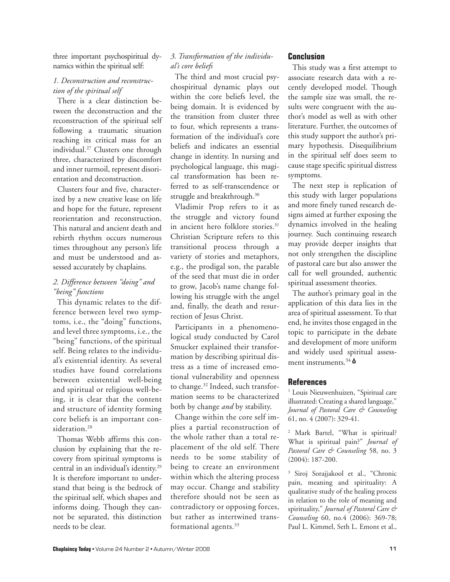three important psychospiritual dynamics within the spiritual self:

## *1. Deconstruction and reconstruction of the spiritual self*

There is a clear distinction between the deconstruction and the reconstruction of the spiritual self following a traumatic situation reaching its critical mass for an individual.27 Clusters one through three, characterized by discomfort and inner turmoil, represent disorientation and deconstruction.

Clusters four and five, characterized by a new creative lease on life and hope for the future, represent reorientation and reconstruction. This natural and ancient death and rebirth rhythm occurs numerous times throughout any person's life and must be understood and assessed accurately by chaplains.

### *2. Difference between "doing" and "being" functions*

This dynamic relates to the difference between level two symptoms, i.e., the "doing" functions, and level three symptoms, i.e., the "being" functions, of the spiritual self. Being relates to the individual's existential identity. As several studies have found correlations between existential well-being and spiritual or religious well-being, it is clear that the content and structure of identity forming core beliefs is an important consideration.<sup>28</sup>

Thomas Webb affirms this conclusion by explaining that the recovery from spiritual symptoms is central in an individual's identity.29 It is therefore important to understand that being is the bedrock of the spiritual self, which shapes and informs doing. Though they cannot be separated, this distinction needs to be clear.

## *3. Transformation of the individual's core beliefs*

The third and most crucial psychospiritual dynamic plays out within the core beliefs level, the being domain. It is evidenced by the transition from cluster three to four, which represents a transformation of the individual's core beliefs and indicates an essential change in identity. In nursing and psychological language, this magical transformation has been referred to as self-transcendence or struggle and breakthrough.<sup>30</sup>

Vladimir Prop refers to it as the struggle and victory found in ancient hero folklore stories.<sup>31</sup> Christian Scripture refers to this transitional process through a variety of stories and metaphors, e.g., the prodigal son, the parable of the seed that must die in order to grow, Jacob's name change following his struggle with the angel and, finally, the death and resurrection of Jesus Christ.

Participants in a phenomenological study conducted by Carol Smucker explained their transformation by describing spiritual distress as a time of increased emotional vulnerability and openness to change.<sup>32</sup> Indeed, such transformation seems to be characterized both by change *and* by stability.

Change within the core self implies a partial reconstruction of the whole rather than a total replacement of the old self. There needs to be some stability of being to create an environment within which the altering process may occur. Change and stability therefore should not be seen as contradictory or opposing forces, but rather as intertwined transformational agents.<sup>33</sup>

## **Conclusion**

This study was a first attempt to associate research data with a recently developed model. Though the sample size was small, the results were congruent with the author's model as well as with other literature. Further, the outcomes of this study support the author's primary hypothesis. Disequilibrium in the spiritual self does seem to cause stage specific spiritual distress symptoms.

The next step is replication of this study with larger populations and more finely tuned research designs aimed at further exposing the dynamics involved in the healing journey. Such continuing research may provide deeper insights that not only strengthen the discipline of pastoral care but also answer the call for well grounded, authentic spiritual assessment theories.

The author's primary goal in the application of this data lies in the area of spiritual assessment. To that end, he invites those engaged in the topic to participate in the debate and development of more uniform and widely used spiritual assessment instruments.<sup>34</sup>  $\phi$ 

## **References**

<sup>1</sup> Louis Nieuwenhuizen, "Spiritual care illustrated: Creating a shared language," *Journal of Pastoral Care & Counseling*  61, no. 4 (2007): 329-41.

2 Mark Bartel, "What is spiritual? What is spiritual pain?" *Journal of Pastoral Care & Counseling* 58, no. 3 (2004): 187-200.

3 Siroj Sorajjakool et al., "Chronic pain, meaning and spirituality: A qualitative study of the healing process in relation to the role of meaning and spirituality," *Journal of Pastoral Care & Counseling* 60, no.4 (2006): 369-78; Paul L. Kimmel, Seth L. Emont et al.,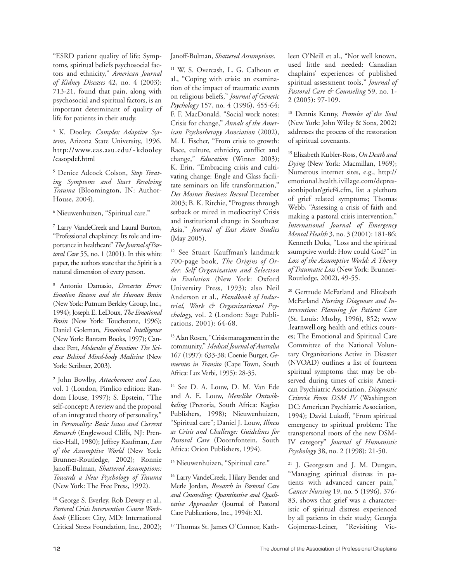"ESRD patient quality of life: Symptoms, spiritual beliefs psychosocial factors and ethnicity," *American Journal of Kidney Diseases* 42, no. 4 (2003): 713-21, found that pain, along with psychosocial and spiritual factors, is an important determinant of quality of life for patients in their study.

4 K. Dooley, *Complex Adaptive Systems*, Arizona State University, 1996. http://www.eas.asu.edu/~kdooley /casopdef.html

5 Denice Adcock Colson, *Stop Treating Symptoms and Start Resolving Trauma* (Bloomington, IN: Author-House, 2004).

6 Nieuwenhuizen, "Spiritual care."

7 Larry VandeCreek and Laural Burton, "Professional chaplaincy: Its role and importance in healthcare" *The Journal of Pastoral Care* 55, no. 1 (2001). In this white paper, the authors state that the Spirit is a natural dimension of every person.

8 Antonio Damasio, *Descartes Error: Emotion Reason and the Human Brain* (New York: Putnum Berkley Group, Inc., 1994); Joseph E. LeDoux, *The Emotional Brain* (New York: Touchstone, 1996); Daniel Goleman, *Emotional Intelligence* (New York: Bantam Books, 1997); Candace Pert, *Molecules of Emotion: The Science Behind Mind-body Medicine* (New York: Scribner, 2003).

9 John Bowlby, *Attachement and Loss,*  vol. 1 (London, Pimlico edition: Random House, 1997); S. Epstein, "The self-concept: A review and the proposal of an integrated theory of personality," in *Personality: Basic Issues and Current Research* (Englewood Cliffs, NJ: Prentice-Hall, 1980); Jeffrey Kaufman, *Loss of the Assumptive World* (New York: Brunner-Routledge, 2002); Ronnie Janoff-Bulman, *Shattered Assumptions: Towards a New Psychology of Trauma* (New York: The Free Press, 1992).

<sup>10</sup> George S. Everley, Rob Dewey et al., *Pastoral Crisis Intervention Course Workbook* (Ellicott City, MD: International Critical Stress Foundation, Inc., 2002); Janoff-Bulman, *Shattered Assumptions*.

11 W. S. Overcash, L. G. Calhoun et al., "Coping with crisis: an examination of the impact of traumatic events on religious beliefs," *Journal of Genetic Psychology* 157, no. 4 (1996), 455-64; F. F. MacDonald, "Social work notes: Crisis for change," *Annals of the American Psychotherapy Association* (2002), M. I. Fischer, "From crisis to growth: Race, culture, ethnicity, conflict and change," *Education* (Winter 2003); K. Erin, "Embracing crisis and cultivating change: Engle and Glass facilitate seminars on life transformation," *Des Moines Business Record* December 2003; B. K. Ritchie, "Progress through setback or mired in mediocrity? Crisis and institutional change in Southeast Asia," *Journal of East Asian Studies* (May 2005).

12 See Stuart Kauffman's landmark 700-page book, *The Origins of Order: Self Organization and Selection in Evolution* (New York: Oxford University Press, 1993); also Neil Anderson et al., *Handbook of Industrial, Work & Organizational Psychology,* vol. 2 (London: Sage Publications, 2001): 64-68.

13 Alan Rosen, "Crisis management in the community," *Medical Journal of Australia* 167 (1997): 633-38; Coenie Burger, *Gemeentes in Transito* (Cape Town, South Africa: Lux Verbi, 1995): 28-35.

14 See D. A. Louw, D. M. Van Ede and A. E. Louw, *Menslike Ontwikkeling* (Pretoria, South Africa: Kagiso Publishers, 1998); Nieuwenhuizen, "Spiritual care"; Daniel J. Louw, *Illness as Crisis and Challenge: Guidelines for Pastoral Care* (Doornfontein, South Africa: Orion Publishers, 1994).

<sup>15</sup> Nieuwenhuizen, "Spiritual care."

<sup>16</sup> Larry VandeCreek, Hilary Bender and Merle Jordan, *Research in Pastoral Care and Counseling: Quantitative and Qualitative Approaches* (Journal of Pastoral Care Publications, Inc., 1994): XI.

<sup>17</sup> Thomas St. James O'Connor, Kath-

leen O'Neill et al., "Not well known, used little and needed: Canadian chaplains' experiences of published spiritual assessment tools," *Journal of Pastoral Care & Counseling* 59, no. 1- 2 (2005): 97-109.

18 Dennis Kenny, *Promise of the Soul* (New York: John Wiley & Sons, 2002) addresses the process of the restoration of spiritual covenants.

19 Elizabeth Kubler-Ross, *On Death and Dying* (New York: Macmillan, 1969); Numerous internet sites, e.g., http:// emotional.health.ivillage.com/depressionbipolar/grief4.cfm, list a plethora of grief related symptoms; Thomas Webb, "Assessing a crisis of faith and making a pastoral crisis intervention," *International Journal of Emergency Mental Health* 3, no. 3 (2001): 181-86; Kenneth Doka, "Loss and the spiritual ssumptive world: How could God?" in *Loss of the Assumptive World: A Theory of Traumatic Loss* (New York: Brunner-Routledge, 2002), 49-55.

<sup>20</sup> Gertrude McFarland and Elizabeth McFarland *Nursing Diagnoses and Intervention: Planning for Patient Care* (St. Louis: Mosby, 1996), 852; www .learnwell.org health and ethics courses; The Emotional and Spiritual Care Committee of the National Voluntary Organizations Active in Disaster (NVOAD) outlines a list of fourteen spiritual symptoms that may be observed during times of crisis; American Psychiatric Association, *Diagnostic Criteria From DSM IV* (Washington DC: American Psychiatric Association, 1994); David Lukoff, "From spiritual emergency to spiritual problem: The transpersonal roots of the new DSM-IV category" *Journal of Humanistic Psychology* 38, no. 2 (1998): 21-50.

21 J. Georgesen and J. M. Dungan, "Managing spiritual distress in patients with advanced cancer pain," *Cancer Nursing* 19, no. 5 (1996), 376- 83, shows that grief was a characteristic of spiritual distress experienced by all patients in their study; Georgia Gojmerac-Leiner, "Revisiting Vic-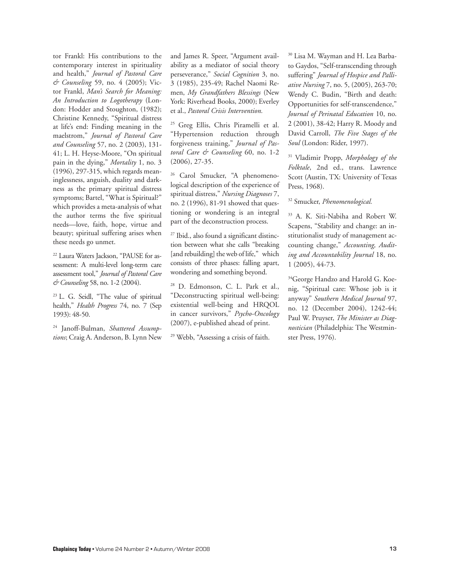tor Frankl: His contributions to the contemporary interest in spirituality and health," *Journal of Pastoral Care & Counseling* 59, no. 4 (2005); Victor Frankl, *Man's Search for Meaning: An Introduction to Logotherapy* (London: Hodder and Stoughton, (1982); Christine Kennedy, "Spiritual distress at life's end: Finding meaning in the maelstrom," *Journal of Pastoral Care and Counseling* 57, no. 2 (2003), 131- 41; L. H. Heyse-Moore, "On spiritual pain in the dying," *Mortality* 1, no. 3 (1996), 297-315, which regards meaninglessness, anguish, duality and darkness as the primary spiritual distress symptoms; Bartel, "What is Spiritual?" which provides a meta-analysis of what the author terms the five spiritual needs—love, faith, hope, virtue and beauty; spiritual suffering arises when these needs go unmet.

22 Laura Waters Jackson, "PAUSE for assessment: A multi-level long-term care assessment tool," *Journal of Pastoral Care & Counseling* 58, no. 1-2 (2004).

23 L. G. Seidl, "The value of spiritual health," *Health Progress* 74, no. 7 (Sep 1993): 48-50.

24 Janoff-Bulman, *Shattered Assumptions*; Craig A. Anderson, B. Lynn New and James R. Speer, "Argument availability as a mediator of social theory perseverance," *Social Cognition* 3, no. 3 (1985), 235-49; Rachel Naomi Remen, *My Grandfathers Blessings* (New York: Riverhead Books, 2000); Everley et al., *Pastoral Crisis Intervention.*

<sup>25</sup> Greg Ellis, Chris Piramelli et al. "Hypertension reduction through forgiveness training," *Journal of Pastoral Care & Counseling* 60, no. 1-2 (2006), 27-35.

<sup>26</sup> Carol Smucker, "A phenomenological description of the experience of spiritual distress," *Nursing Diagnoses* 7, no. 2 (1996), 81-91 showed that questioning or wondering is an integral part of the deconstruction process.

27 Ibid., also found a significant distinction between what she calls "breaking [and rebuilding] the web of life," which consists of three phases: falling apart, wondering and something beyond.

28 D. Edmonson, C. L. Park et al., "Deconstructing spiritual well-being: existential well-being and HRQOL in cancer survivors," *Psycho-Oncology* (2007), e-published ahead of print.

29 Webb, "Assessing a crisis of faith.

30 Lisa M. Wayman and H. Lea Barbato Gaydos, "Self-transcending through suffering" *Journal of Hospice and Palliative Nursing* 7, no. 5, (2005), 263-70; Wendy C. Budin, "Birth and death: Opportunities for self-transcendence," *Journal of Perinatal Education* 10, no. 2 (2001), 38-42; Harry R. Moody and David Carroll, *The Five Stages of the Soul* (London: Rider, 1997).

31 Vladimir Propp, *Morphology of the Folktale*, 2nd ed., trans. Lawrence Scott (Austin, TX: University of Texas Press, 1968).

32 Smucker, *Phenomenological.*

33 A. K. Siti-Nabiha and Robert W. Scapens, "Stability and change: an institutionalist study of management accounting change," *Accounting, Auditing and Accountability Journal* 18, no. 1 (2005), 44-73.

<sup>34</sup>George Handzo and Harold G. Koenig, "Spiritual care: Whose job is it anyway" *Southern Medical Journal* 97, no. 12 (December 2004), 1242-44; Paul W. Pruyser, *The Minister as Diagnostician* (Philadelphia: The Westminster Press, 1976).